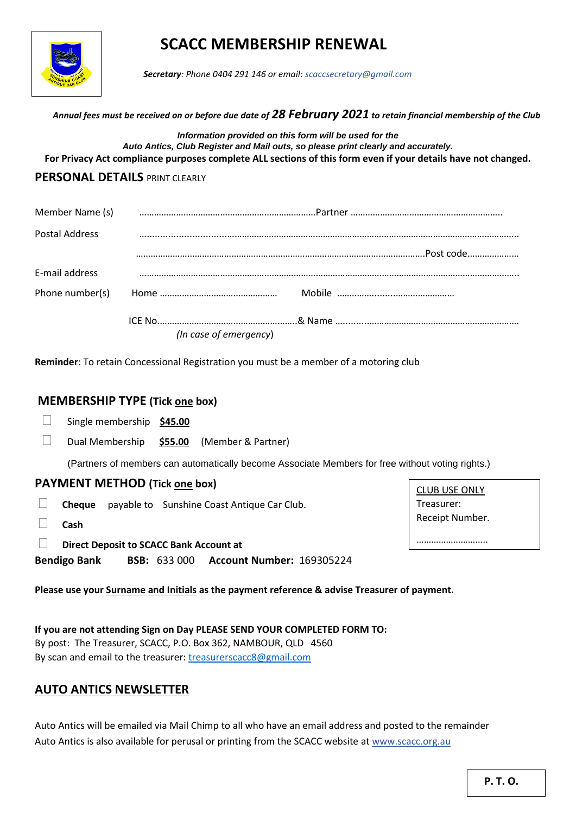

# **SCACC MEMBERSHIP RENEWAL**

 *Secretary: Phone 0404 291 146 or email: scaccsecretary@gmail.com*

 *Annual fees must be received on or before due date of 28 February 2021 to retain financial membership of the Club*

*Information provided on this form will be used for the Auto Antics, Club Register and Mail outs, so please print clearly and accurately.* **For Privacy Act compliance purposes complete ALL sections of this form even if your details have not changed.**

## **PERSONAL DETAILS** PRINT CLEARLY

| Member Name (s) |                          |  |
|-----------------|--------------------------|--|
| Postal Address  | $\overline{\phantom{a}}$ |  |
|                 |                          |  |
| E-mail address  |                          |  |
| Phone number(s) |                          |  |
|                 |                          |  |
|                 | (In case of emergency)   |  |

**Reminder**: To retain Concessional Registration you must be a member of a motoring club

### **MEMBERSHIP TYPE (Tick one box)**

- Single membership **\$45.00**
- Dual Membership **\$55.00** (Member & Partner)

(Partners of members can automatically become Associate Members for free without voting rights.)

#### **PAYMENT METHOD (Tick one box)**

- **Cheque** payable to Sunshine Coast Antique Car Club.
- **Cash**
- **Direct Deposit to SCACC Bank Account at**

**Bendigo Bank BSB:** 633 000 **Account Number:** 169305224

CLUB USE ONLY Treasurer: Receipt Number.

……………………………

**Please use your Surname and Initials as the payment reference & advise Treasurer of payment.**

**If you are not attending Sign on Day PLEASE SEND YOUR COMPLETED FORM TO:** By post: The Treasurer, SCACC, P.O. Box 362, NAMBOUR, QLD 4560 By scan and email to the treasurer[: treasurerscacc8@gmail.com](mailto:treasurerscacc8@gmail.com)

## **AUTO ANTICS NEWSLETTER**

Auto Antics will be emailed via Mail Chimp to all who have an email address and posted to the remainder Auto Antics is also available for perusal or printing from the SCACC website a[t www.scacc.org.au](http://www.scacc.org.au/)